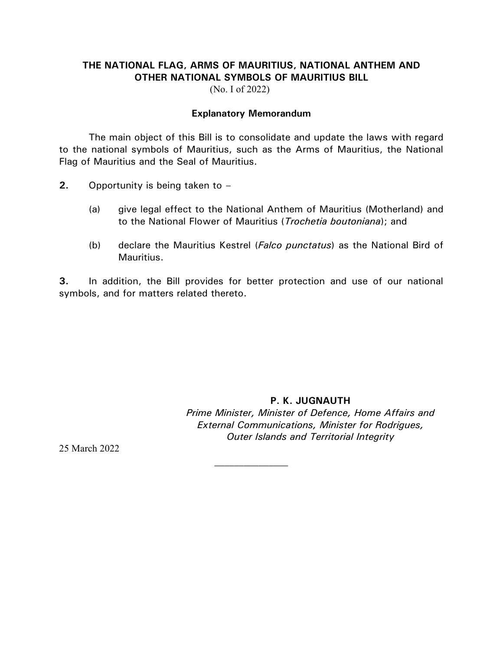## **THE NATIONAL FLAG, ARMS OF MAURITIUS, NATIONAL ANTHEM AND OTHER NATIONAL SYMBOLS OF MAURITIUS BILL**

(No. I of 2022)

#### **Explanatory Memorandum**

The main object of this Bill is to consolidate and update the laws with regard to the national symbols of Mauritius, such as the Arms of Mauritius, the National Flag of Mauritius and the Seal of Mauritius.

- **2.** Opportunity is being taken to
	- (a) give legal effect to the National Anthem of Mauritius (Motherland) and to the National Flower of Mauritius (*Trochetia boutoniana*); and
	- (b) declare the Mauritius Kestrel (*Falco punctatus*) as the National Bird of Mauritius.

**3.** In addition, the Bill provides for better protection and use of our national symbols, and for matters related thereto.

> **P. K. JUGNAUTH** *Prime Minister, Minister of Defence, Home Affairs and External Communications, Minister for Rodrigues, Outer Islands and Territorial Integrity*

25 March 2022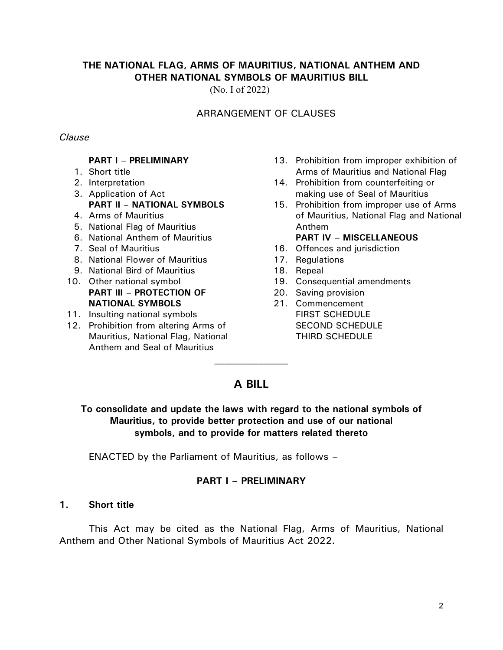## **THE NATIONAL FLAG, ARMS OF MAURITIUS, NATIONAL ANTHEM AND OTHER NATIONAL SYMBOLS OF MAURITIUS BILL**

(No. I of 2022)

## ARRANGEMENT OF CLAUSES

#### *Clause*

#### **PART I – PRELIMINARY**

- 1. Short title
- 2. Interpretation
- 3. Application of Act **PART II – NATIONAL SYMBOLS**
- 4. Arms of Mauritius
- 5. National Flag of Mauritius
- 6. National Anthem of Mauritius
- 7. Seal of Mauritius
- 8. National Flower of Mauritius
- 9. National Bird of Mauritius
- 10. Other national symbol **PART III – PROTECTION OF NATIONAL SYMBOLS**
- 11. Insulting national symbols
- 12. Prohibition from altering Arms of Mauritius, National Flag, National Anthem and Seal of Mauritius
- 13. Prohibition from improper exhibition of Arms of Mauritius and National Flag
- 14. Prohibition from counterfeiting or making use of Seal of Mauritius
- 15. Prohibition from improper use of Arms of Mauritius, National Flag and National Anthem

#### **PART IV – MISCELLANEOUS**

- 16. Offences and jurisdiction
- 17. Regulations
- 18. Repeal
- 19. Consequential amendments
- 20. Saving provision
- 21. Commencement FIRST SCHEDULE SECOND SCHEDULE THIRD SCHEDULE

# **A BILL**

## **To consolidate and update the laws with regard to the national symbols of Mauritius, to provide better protection and use of our national symbols, and to provide for matters related thereto**

ENACTED by the Parliament of Mauritius, as follows –

## **PART I – PRELIMINARY**

#### **1. Short title**

This Act may be cited as the National Flag, Arms of Mauritius, National Anthem and Other National Symbols of Mauritius Act 2022.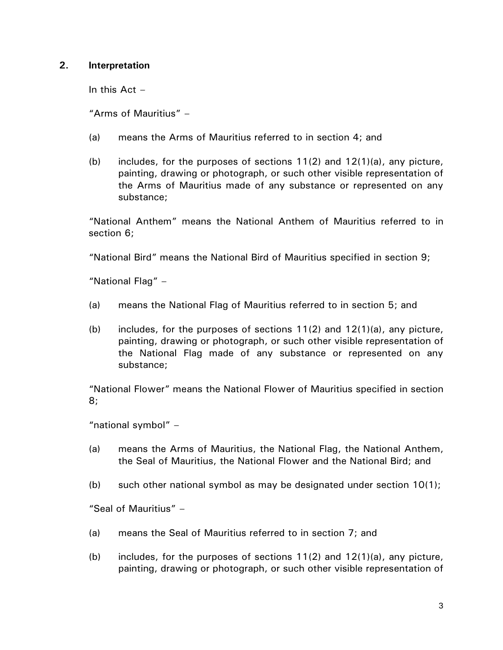### **2. Interpretation**

In this  $Act -$ 

"Arms of Mauritius" –

- (a) means the Arms of Mauritius referred to in section 4; and
- (b) includes, for the purposes of sections  $11(2)$  and  $12(1)(a)$ , any picture, painting, drawing or photograph, or such other visible representation of the Arms of Mauritius made of any substance or represented on any substance;

"National Anthem" means the National Anthem of Mauritius referred to in section 6;

"National Bird" means the National Bird of Mauritius specified in section 9;

"National Flag" –

- (a) means the National Flag of Mauritius referred to in section 5; and
- (b) includes, for the purposes of sections  $11(2)$  and  $12(1)(a)$ , any picture, painting, drawing or photograph, or such other visible representation of the National Flag made of any substance or represented on any substance;

"National Flower" means the National Flower of Mauritius specified in section 8;

"national symbol" –

- (a) means the Arms of Mauritius, the National Flag, the National Anthem, the Seal of Mauritius, the National Flower and the National Bird; and
- (b) such other national symbol as may be designated under section  $10(1)$ ;

"Seal of Mauritius" –

- (a) means the Seal of Mauritius referred to in section 7; and
- (b) includes, for the purposes of sections  $11(2)$  and  $12(1)(a)$ , any picture, painting, drawing or photograph, or such other visible representation of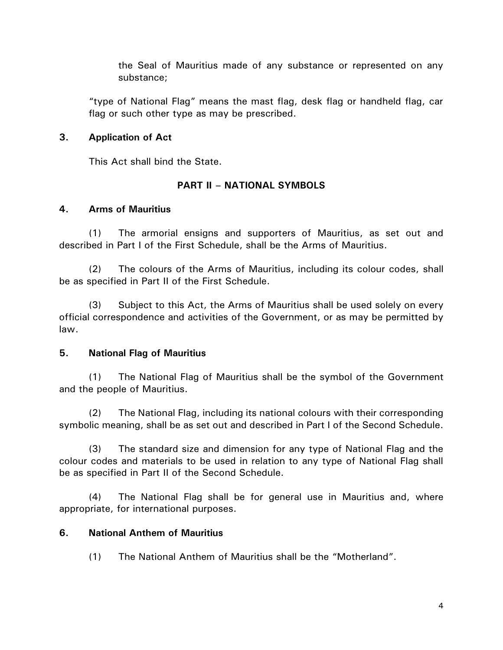the Seal of Mauritius made of any substance or represented on any substance;

"type of National Flag" means the mast flag, desk flag or handheld flag, car flag or such other type as may be prescribed.

## **3. Application of Act**

This Act shall bind the State.

## **PART II – NATIONAL SYMBOLS**

## **4. Arms of Mauritius**

(1) The armorial ensigns and supporters of Mauritius, as set out and described in Part I of the First Schedule, shall be the Arms of Mauritius.

(2) The colours of the Arms of Mauritius, including its colour codes, shall be as specified in Part II of the First Schedule.

(3) Subject to this Act, the Arms of Mauritius shall be used solely on every official correspondence and activities of the Government, or as may be permitted by law.

## **5. National Flag of Mauritius**

(1) The National Flag of Mauritius shall be the symbol of the Government and the people of Mauritius.

(2) The National Flag, including its national colours with their corresponding symbolic meaning, shall be as set out and described in Part I of the Second Schedule.

(3) The standard size and dimension for any type of National Flag and the colour codes and materials to be used in relation to any type of National Flag shall be as specified in Part II of the Second Schedule.

(4) The National Flag shall be for general use in Mauritius and, where appropriate, for international purposes.

## **6. National Anthem of Mauritius**

(1) The National Anthem of Mauritius shall be the "Motherland".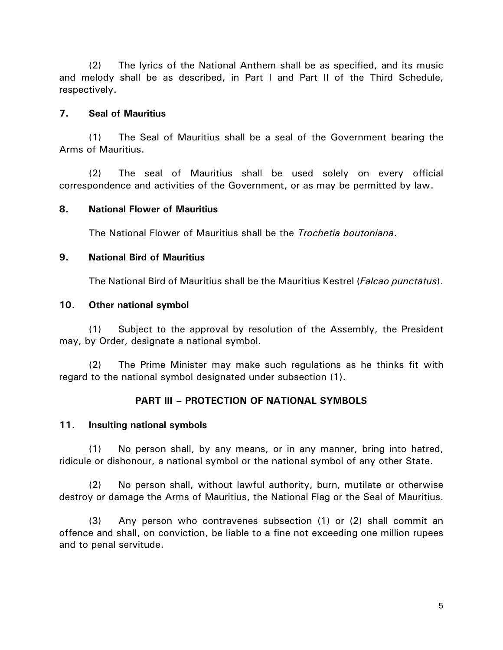(2) The lyrics of the National Anthem shall be as specified, and its music and melody shall be as described, in Part I and Part II of the Third Schedule, respectively.

### **7. Seal of Mauritius**

(1) The Seal of Mauritius shall be a seal of the Government bearing the Arms of Mauritius.

(2) The seal of Mauritius shall be used solely on every official correspondence and activities of the Government, or as may be permitted by law.

#### **8. National Flower of Mauritius**

The National Flower of Mauritius shall be the *Trochetia boutoniana*.

#### **9. National Bird of Mauritius**

The National Bird of Mauritius shall be the Mauritius Kestrel (*Falcao punctatus*).

#### **10. Other national symbol**

(1) Subject to the approval by resolution of the Assembly, the President may, by Order, designate a national symbol.

(2) The Prime Minister may make such regulations as he thinks fit with regard to the national symbol designated under subsection (1).

## **PART III – PROTECTION OF NATIONAL SYMBOLS**

#### **11. Insulting national symbols**

(1) No person shall, by any means, or in any manner, bring into hatred, ridicule or dishonour, a national symbol or the national symbol of any other State.

(2) No person shall, without lawful authority, burn, mutilate or otherwise destroy or damage the Arms of Mauritius, the National Flag or the Seal of Mauritius.

(3) Any person who contravenes subsection (1) or (2) shall commit an offence and shall, on conviction, be liable to a fine not exceeding one million rupees and to penal servitude.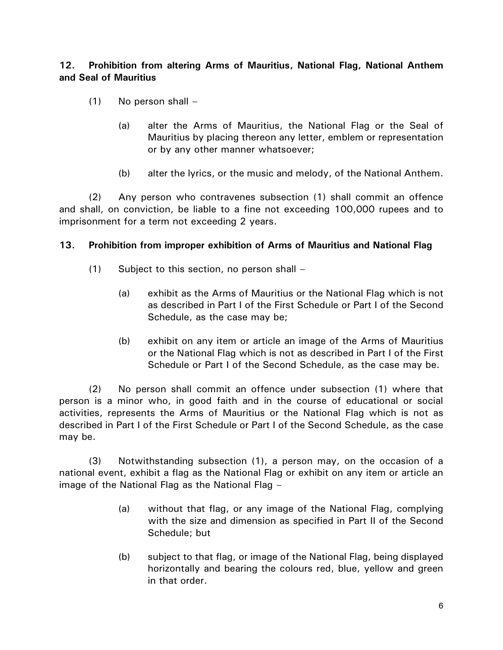## **12. Prohibition from altering Arms of Mauritius, National Flag, National Anthem and Seal of Mauritius**

- (1) No person shall
	- (a) alter the Arms of Mauritius, the National Flag or the Seal of Mauritius by placing thereon any letter, emblem or representation or by any other manner whatsoever;
	- (b) alter the lyrics, or the music and melody, of the National Anthem.

(2) Any person who contravenes subsection (1) shall commit an offence and shall, on conviction, be liable to a fine not exceeding 100,000 rupees and to imprisonment for a term not exceeding 2 years.

#### **13. Prohibition from improper exhibition of Arms of Mauritius and National Flag**

- (1) Subject to this section, no person shall
	- (a) exhibit as the Arms of Mauritius or the National Flag which is not as described in Part I of the First Schedule or Part I of the Second Schedule, as the case may be;
	- (b) exhibit on any item or article an image of the Arms of Mauritius or the National Flag which is not as described in Part I of the First Schedule or Part I of the Second Schedule, as the case may be.

(2) No person shall commit an offence under subsection (1) where that person is a minor who, in good faith and in the course of educational or social activities, represents the Arms of Mauritius or the National Flag which is not as described in Part I of the First Schedule or Part I of the Second Schedule, as the case may be.

(3) Notwithstanding subsection (1), a person may, on the occasion of a national event, exhibit a flag as the National Flag or exhibit on any item or article an image of the National Flag as the National Flag –

- (a) without that flag, or any image of the National Flag, complying with the size and dimension as specified in Part II of the Second Schedule; but
- (b) subject to that flag, or image of the National Flag, being displayed horizontally and bearing the colours red, blue, yellow and green in that order.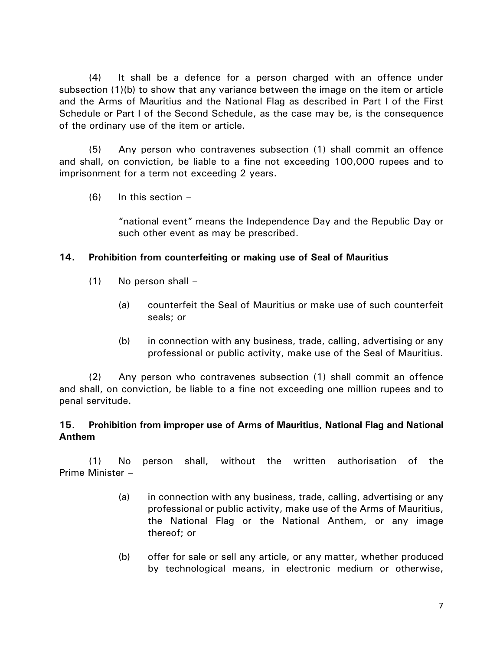(4) It shall be a defence for a person charged with an offence under subsection (1)(b) to show that any variance between the image on the item or article and the Arms of Mauritius and the National Flag as described in Part I of the First Schedule or Part I of the Second Schedule, as the case may be, is the consequence of the ordinary use of the item or article.

(5) Any person who contravenes subsection (1) shall commit an offence and shall, on conviction, be liable to a fine not exceeding 100,000 rupees and to imprisonment for a term not exceeding 2 years.

 $(6)$  In this section –

"national event" means the Independence Day and the Republic Day or such other event as may be prescribed.

## **14. Prohibition from counterfeiting or making use of Seal of Mauritius**

- (1) No person shall
	- (a) counterfeit the Seal of Mauritius or make use of such counterfeit seals; or
	- (b) in connection with any business, trade, calling, advertising or any professional or public activity, make use of the Seal of Mauritius.

(2) Any person who contravenes subsection (1) shall commit an offence and shall, on conviction, be liable to a fine not exceeding one million rupees and to penal servitude.

## **15. Prohibition from improper use of Arms of Mauritius, National Flag and National Anthem**

(1) No person shall, without the written authorisation of the Prime Minister –

- (a) in connection with any business, trade, calling, advertising or any professional or public activity, make use of the Arms of Mauritius, the National Flag or the National Anthem, or any image thereof; or
- (b) offer for sale or sell any article, or any matter, whether produced by technological means, in electronic medium or otherwise,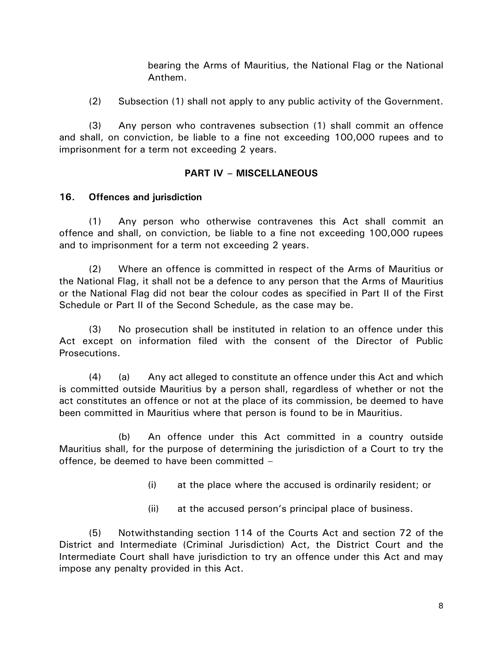bearing the Arms of Mauritius, the National Flag or the National Anthem.

(2) Subsection (1) shall not apply to any public activity of the Government.

(3) Any person who contravenes subsection (1) shall commit an offence and shall, on conviction, be liable to a fine not exceeding 100,000 rupees and to imprisonment for a term not exceeding 2 years.

## **PART IV – MISCELLANEOUS**

## **16. Offences and jurisdiction**

(1) Any person who otherwise contravenes this Act shall commit an offence and shall, on conviction, be liable to a fine not exceeding 100,000 rupees and to imprisonment for a term not exceeding 2 years.

(2) Where an offence is committed in respect of the Arms of Mauritius or the National Flag, it shall not be a defence to any person that the Arms of Mauritius or the National Flag did not bear the colour codes as specified in Part II of the First Schedule or Part II of the Second Schedule, as the case may be.

(3) No prosecution shall be instituted in relation to an offence under this Act except on information filed with the consent of the Director of Public Prosecutions.

(4) (a) Any act alleged to constitute an offence under this Act and which is committed outside Mauritius by a person shall, regardless of whether or not the act constitutes an offence or not at the place of its commission, be deemed to have been committed in Mauritius where that person is found to be in Mauritius.

(b) An offence under this Act committed in a country outside Mauritius shall, for the purpose of determining the jurisdiction of a Court to try the offence, be deemed to have been committed –

- (i) at the place where the accused is ordinarily resident; or
- (ii) at the accused person's principal place of business.

(5) Notwithstanding section 114 of the Courts Act and section 72 of the District and Intermediate (Criminal Jurisdiction) Act, the District Court and the Intermediate Court shall have jurisdiction to try an offence under this Act and may impose any penalty provided in this Act.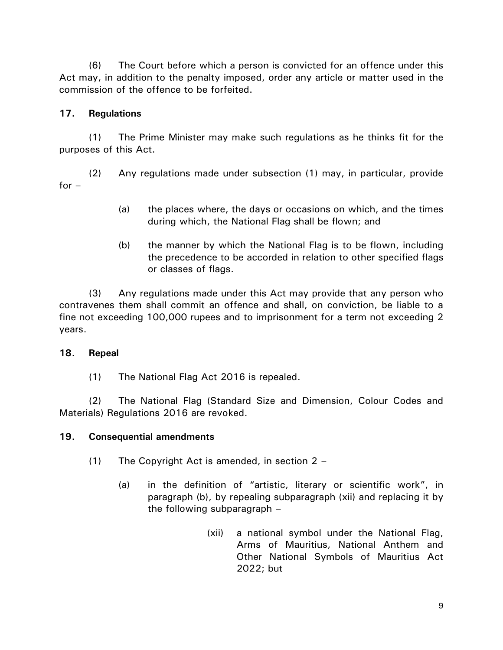(6) The Court before which a person is convicted for an offence under this Act may, in addition to the penalty imposed, order any article or matter used in the commission of the offence to be forfeited.

## **17. Regulations**

(1) The Prime Minister may make such regulations as he thinks fit for the purposes of this Act.

(2) Any regulations made under subsection (1) may, in particular, provide for  $-$ 

- (a) the places where, the days or occasions on which, and the times during which, the National Flag shall be flown; and
- (b) the manner by which the National Flag is to be flown, including the precedence to be accorded in relation to other specified flags or classes of flags.

(3) Any regulations made under this Act may provide that any person who contravenes them shall commit an offence and shall, on conviction, be liable to a fine not exceeding 100,000 rupees and to imprisonment for a term not exceeding 2 years.

## **18. Repeal**

(1) The National Flag Act 2016 is repealed.

(2) The National Flag (Standard Size and Dimension, Colour Codes and Materials) Regulations 2016 are revoked.

## **19. Consequential amendments**

- (1) The Copyright Act is amended, in section  $2 -$ 
	- (a) in the definition of "artistic, literary or scientific work", in paragraph (b), by repealing subparagraph (xii) and replacing it by the following subparagraph –
		- (xii) a national symbol under the National Flag, Arms of Mauritius, National Anthem and Other National Symbols of Mauritius Act 2022; but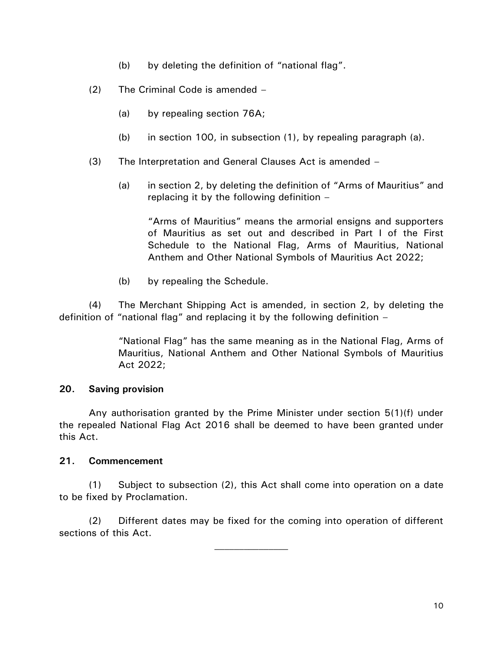- (b) by deleting the definition of "national flag".
- (2) The Criminal Code is amended
	- (a) by repealing section 76A;
	- (b) in section 100, in subsection (1), by repealing paragraph (a).
- (3) The Interpretation and General Clauses Act is amended
	- (a) in section 2, by deleting the definition of "Arms of Mauritius" and replacing it by the following definition –

"Arms of Mauritius" means the armorial ensigns and supporters of Mauritius as set out and described in Part I of the First Schedule to the National Flag, Arms of Mauritius, National Anthem and Other National Symbols of Mauritius Act 2022;

(b) by repealing the Schedule.

(4) The Merchant Shipping Act is amended, in section 2, by deleting the definition of "national flag" and replacing it by the following definition –

> "National Flag" has the same meaning as in the National Flag, Arms of Mauritius, National Anthem and Other National Symbols of Mauritius Act 2022;

## **20. Saving provision**

Any authorisation granted by the Prime Minister under section 5(1)(f) under the repealed National Flag Act 2016 shall be deemed to have been granted under this Act.

## **21. Commencement**

(1) Subject to subsection (2), this Act shall come into operation on a date to be fixed by Proclamation.

(2) Different dates may be fixed for the coming into operation of different sections of this Act.

 $\mathcal{L}_\text{max}$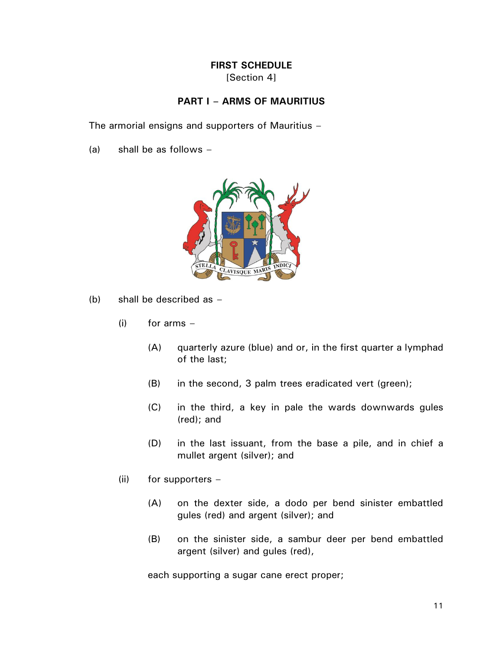#### **FIRST SCHEDULE** [Section 4]

## **PART I – ARMS OF MAURITIUS**

The armorial ensigns and supporters of Mauritius –

(a) shall be as follows –



- (b) shall be described as
	- $(i)$  for arms  $-$ 
		- (A) quarterly azure (blue) and or, in the first quarter a lymphad of the last;
		- (B) in the second, 3 palm trees eradicated vert (green);
		- (C) in the third, a key in pale the wards downwards gules (red); and
		- (D) in the last issuant, from the base a pile, and in chief a mullet argent (silver); and
	- (ii) for supporters  $-$ 
		- (A) on the dexter side, a dodo per bend sinister embattled gules (red) and argent (silver); and
		- (B) on the sinister side, a sambur deer per bend embattled argent (silver) and gules (red),

each supporting a sugar cane erect proper;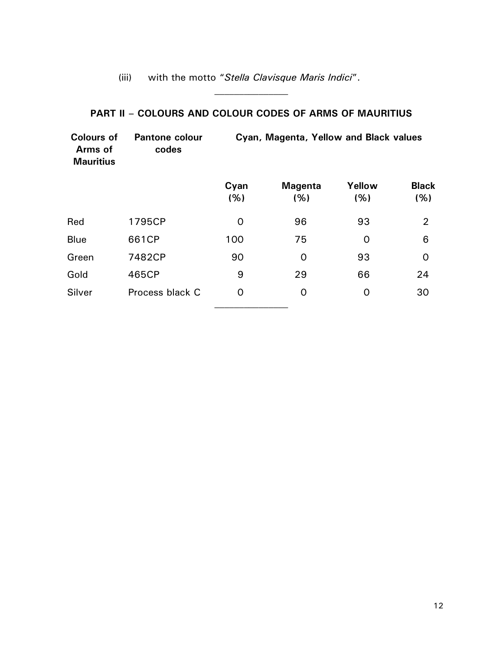## (iii) with the motto "*Stella Clavisque Maris Indici*".

## **PART II – COLOURS AND COLOUR CODES OF ARMS OF MAURITIUS**

| <b>Colours of</b><br>Arms of<br><b>Mauritius</b> | <b>Pantone colour</b><br>codes | Cyan, Magenta, Yellow and Black values |                        |               |                      |
|--------------------------------------------------|--------------------------------|----------------------------------------|------------------------|---------------|----------------------|
|                                                  |                                | Cyan<br>(% )                           | <b>Magenta</b><br>(% ) | Yellow<br>(%) | <b>Black</b><br>(% ) |
| Red                                              | 1795CP                         | 0                                      | 96                     | 93            | $\overline{2}$       |
| <b>Blue</b>                                      | 661CP                          | 100                                    | 75                     | $\Omega$      | 6                    |
| Green                                            | 7482CP                         | 90                                     | $\Omega$               | 93            | $\Omega$             |
| Gold                                             | 465CP                          | 9                                      | 29                     | 66            | 24                   |
| Silver                                           | Process black C                | 0                                      | 0                      | 0             | 30                   |
|                                                  |                                |                                        |                        |               |                      |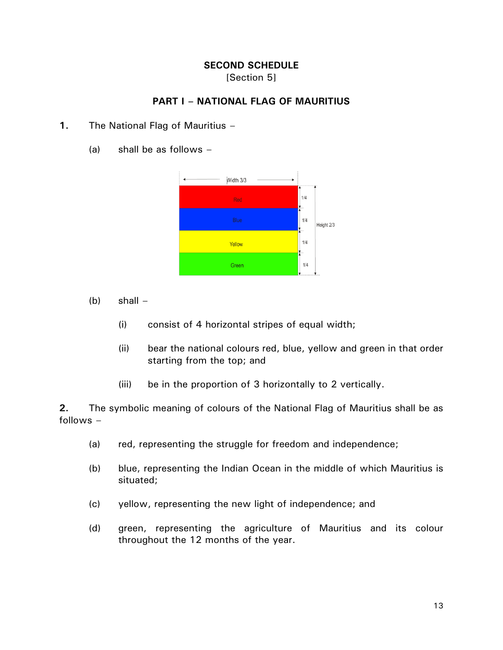### **SECOND SCHEDULE** [Section 5]

## **PART I – NATIONAL FLAG OF MAURITIUS**

- **1.** The National Flag of Mauritius
	- (a) shall be as follows –



- $(b)$  shall  $-$ 
	- (i) consist of 4 horizontal stripes of equal width;
	- (ii) bear the national colours red, blue, yellow and green in that order starting from the top; and
	- (iii) be in the proportion of 3 horizontally to 2 vertically.

**2.** The symbolic meaning of colours of the National Flag of Mauritius shall be as follows –

- (a) red, representing the struggle for freedom and independence;
- (b) blue, representing the Indian Ocean in the middle of which Mauritius is situated;
- (c) yellow, representing the new light of independence; and
- (d) green, representing the agriculture of Mauritius and its colour throughout the 12 months of the year.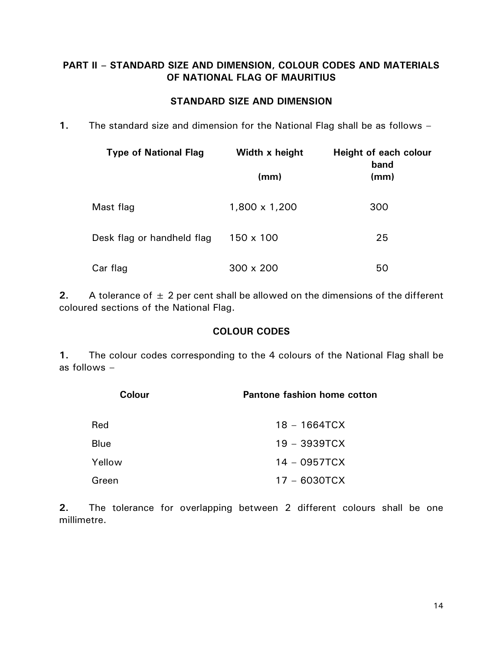## **PART II – STANDARD SIZE AND DIMENSION, COLOUR CODES AND MATERIALS OF NATIONAL FLAG OF MAURITIUS**

## **STANDARD SIZE AND DIMENSION**

**1.** The standard size and dimension for the National Flag shall be as follows –

| <b>Type of National Flag</b> | Width x height   | Height of each colour<br>band |  |
|------------------------------|------------------|-------------------------------|--|
|                              | (mm)             | (mm)                          |  |
| Mast flag                    | 1,800 x 1,200    | 300                           |  |
| Desk flag or handheld flag   | $150 \times 100$ | 25                            |  |
| Car flag                     | $300 \times 200$ | 50                            |  |

**2.** A tolerance of  $\pm$  2 per cent shall be allowed on the dimensions of the different coloured sections of the National Flag.

## **COLOUR CODES**

**1.** The colour codes corresponding to the 4 colours of the National Flag shall be as follows –

| <b>Colour</b> | <b>Pantone fashion home cotton</b> |
|---------------|------------------------------------|
| Red           | $18 - 1664TCX$                     |
| Blue          | $19 - 3939TCX$                     |
| Yellow        | $14 - 0957TCX$                     |
| Green         | $17 - 6030T$ CX                    |

**2.** The tolerance for overlapping between 2 different colours shall be one millimetre.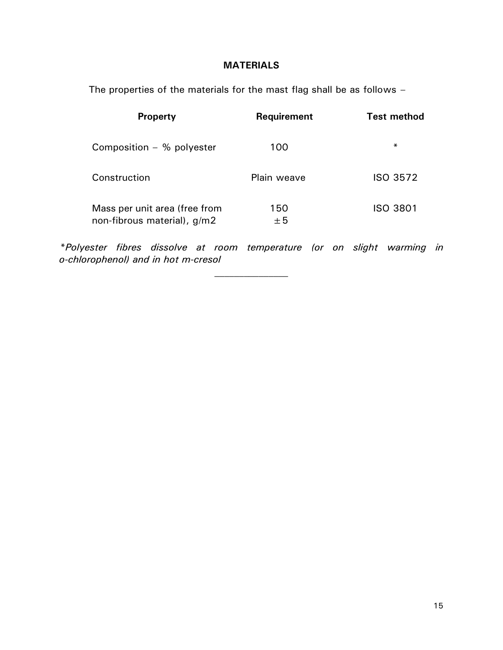## **MATERIALS**

The properties of the materials for the mast flag shall be as follows –

| <b>Property</b>                                              | <b>Requirement</b> | <b>Test method</b> |
|--------------------------------------------------------------|--------------------|--------------------|
| Composition $-$ % polyester                                  | 100                | $\ast$             |
| Construction                                                 | <b>Plain weave</b> | ISO 3572           |
| Mass per unit area (free from<br>non-fibrous material), g/m2 | 150<br>$+5$        | <b>ISO 3801</b>    |

*\*Polyester fibres dissolve at room temperature (or on slight warming in o-chlorophenol) and in hot m-cresol*

 $\mathcal{L}_\text{max}$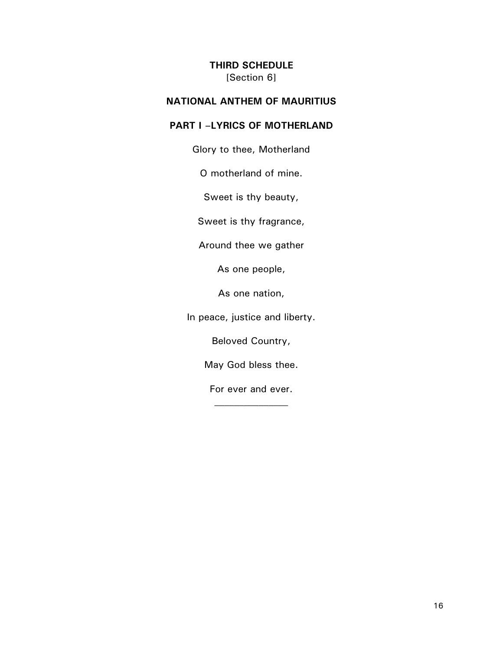### **THIRD SCHEDULE** [Section 6]

## **NATIONAL ANTHEM OF MAURITIUS**

## **PART I –LYRICS OF MOTHERLAND**

Glory to thee, Motherland

O motherland of mine.

Sweet is thy beauty,

Sweet is thy fragrance,

Around thee we gather

As one people,

As one nation,

In peace, justice and liberty.

Beloved Country,

May God bless thee.

For ever and ever.